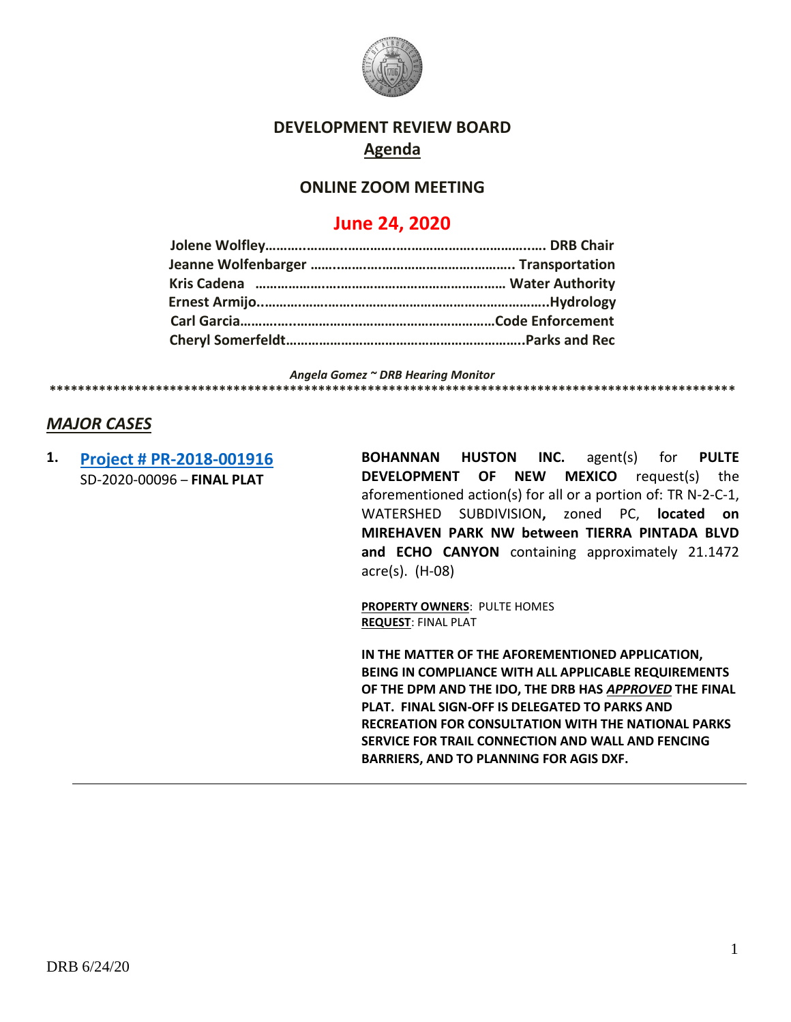

## **DEVELOPMENT REVIEW BOARD Agenda**

## **ONLINE ZOOM MEETING**

## **June 24, 2020**

*Angela Gomez ~ DRB Hearing Monitor*

**\*\*\*\*\*\*\*\*\*\*\*\*\*\*\*\*\*\*\*\*\*\*\*\*\*\*\*\*\*\*\*\*\*\*\*\*\*\*\*\*\*\*\*\*\*\*\*\*\*\*\*\*\*\*\*\*\*\*\*\*\*\*\*\*\*\*\*\*\*\*\*\*\*\*\*\*\*\*\*\*\*\*\*\*\*\*\*\*\*\*\*\*\*\*\*\*\***

## *MAJOR CASES*

**1. [Project # PR-2018-001916](http://data.cabq.gov/government/planning/DRB/PR-2018-001916/DRB%20Submittals/PR-2018-1916_Jun_24_2020/Application/Del%20Webb%204%20Final%20Plat_Digital%20Submittal.pdf)** SD-2020-00096 – **FINAL PLAT**

**BOHANNAN HUSTON INC.** agent(s) for **PULTE DEVELOPMENT OF NEW MEXICO** request(s) the aforementioned action(s) for all or a portion of: TR N-2-C-1, WATERSHED SUBDIVISION**,** zoned PC, **located on MIREHAVEN PARK NW between TIERRA PINTADA BLVD and ECHO CANYON** containing approximately 21.1472 acre(s). (H-08)

**PROPERTY OWNERS**: PULTE HOMES **REQUEST**: FINAL PLAT

**IN THE MATTER OF THE AFOREMENTIONED APPLICATION, BEING IN COMPLIANCE WITH ALL APPLICABLE REQUIREMENTS OF THE DPM AND THE IDO, THE DRB HAS** *APPROVED* **THE FINAL PLAT. FINAL SIGN-OFF IS DELEGATED TO PARKS AND RECREATION FOR CONSULTATION WITH THE NATIONAL PARKS SERVICE FOR TRAIL CONNECTION AND WALL AND FENCING BARRIERS, AND TO PLANNING FOR AGIS DXF.**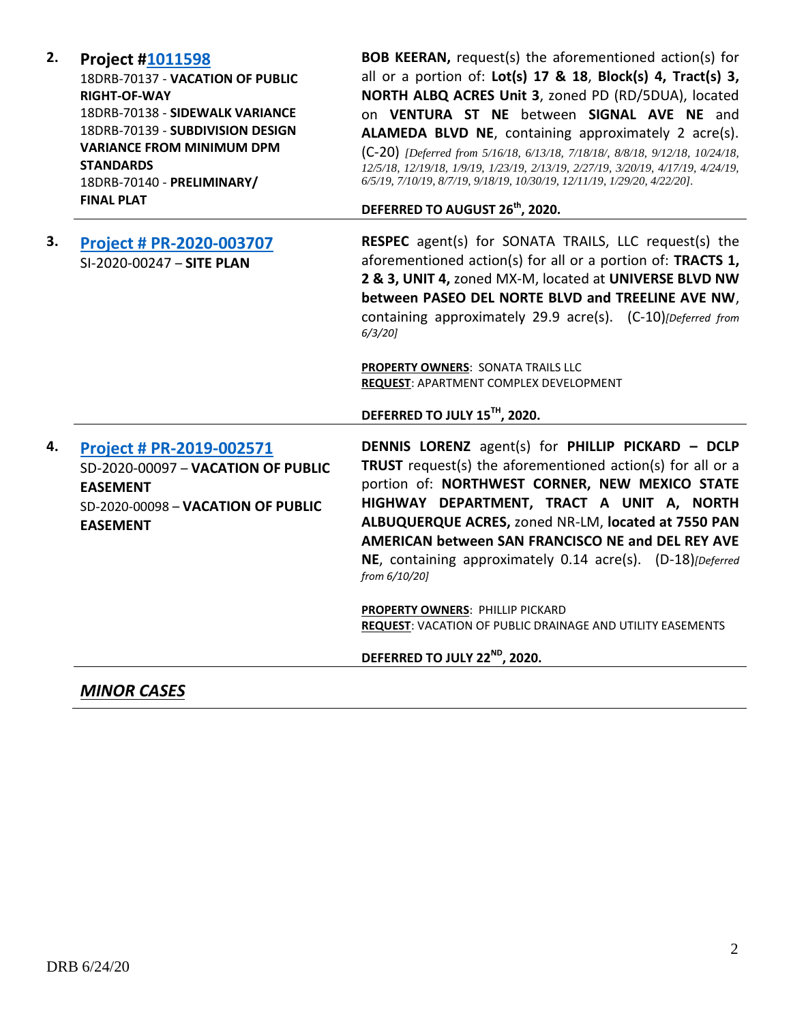| 2. | <b>Project #1011598</b><br>18DRB-70137 - VACATION OF PUBLIC<br><b>RIGHT-OF-WAY</b><br>18DRB-70138 - SIDEWALK VARIANCE<br>18DRB-70139 - SUBDIVISION DESIGN<br><b>VARIANCE FROM MINIMUM DPM</b><br><b>STANDARDS</b><br>18DRB-70140 - PRELIMINARY/<br><b>FINAL PLAT</b> | <b>BOB KEERAN, request(s) the aforementioned action(s) for</b><br>all or a portion of: Lot(s) 17 & 18, Block(s) 4, Tract(s) 3,<br>NORTH ALBQ ACRES Unit 3, zoned PD (RD/5DUA), located<br>on VENTURA ST NE between SIGNAL AVE NE and<br>ALAMEDA BLVD NE, containing approximately 2 acre(s).<br>(C-20) [Deferred from 5/16/18, 6/13/18, 7/18/18/, 8/8/18, 9/12/18, 10/24/18,<br>12/5/18, 12/19/18, 1/9/19, 1/23/19, 2/13/19, 2/27/19, 3/20/19, 4/17/19, 4/24/19,<br>6/5/19, 7/10/19, 8/7/19, 9/18/19, 10/30/19, 12/11/19, 1/29/20, 4/22/20].<br>DEFERRED TO AUGUST 26 <sup>th</sup> , 2020. |
|----|----------------------------------------------------------------------------------------------------------------------------------------------------------------------------------------------------------------------------------------------------------------------|---------------------------------------------------------------------------------------------------------------------------------------------------------------------------------------------------------------------------------------------------------------------------------------------------------------------------------------------------------------------------------------------------------------------------------------------------------------------------------------------------------------------------------------------------------------------------------------------|
| 3. | Project # PR-2020-003707<br>SI-2020-00247 - SITE PLAN                                                                                                                                                                                                                | RESPEC agent(s) for SONATA TRAILS, LLC request(s) the<br>aforementioned action(s) for all or a portion of: TRACTS 1,<br>2 & 3, UNIT 4, zoned MX-M, located at UNIVERSE BLVD NW<br>between PASEO DEL NORTE BLVD and TREELINE AVE NW,<br>containing approximately 29.9 acre(s). (C-10)[Deferred from<br>$6/3/20$ ]<br>PROPERTY OWNERS: SONATA TRAILS LLC<br>REQUEST: APARTMENT COMPLEX DEVELOPMENT<br>DEFERRED TO JULY 15TH, 2020.                                                                                                                                                            |
| 4. | Project # PR-2019-002571<br>SD-2020-00097 - VACATION OF PUBLIC<br><b>EASEMENT</b><br>SD-2020-00098 - VACATION OF PUBLIC<br><b>EASEMENT</b>                                                                                                                           | DENNIS LORENZ agent(s) for PHILLIP PICKARD - DCLP<br>TRUST request(s) the aforementioned action(s) for all or a<br>portion of: NORTHWEST CORNER, NEW MEXICO STATE<br>HIGHWAY DEPARTMENT, TRACT A UNIT A, NORTH<br>ALBUQUERQUE ACRES, zoned NR-LM, located at 7550 PAN<br>AMERICAN between SAN FRANCISCO NE and DEL REY AVE<br>NE, containing approximately 0.14 acre(s). (D-18)[Deferred<br>from 6/10/20]<br>PROPERTY OWNERS: PHILLIP PICKARD<br>REQUEST: VACATION OF PUBLIC DRAINAGE AND UTILITY EASEMENTS<br>DEFERRED TO JULY 22 <sup>ND</sup> , 2020.                                    |

*MINOR CASES*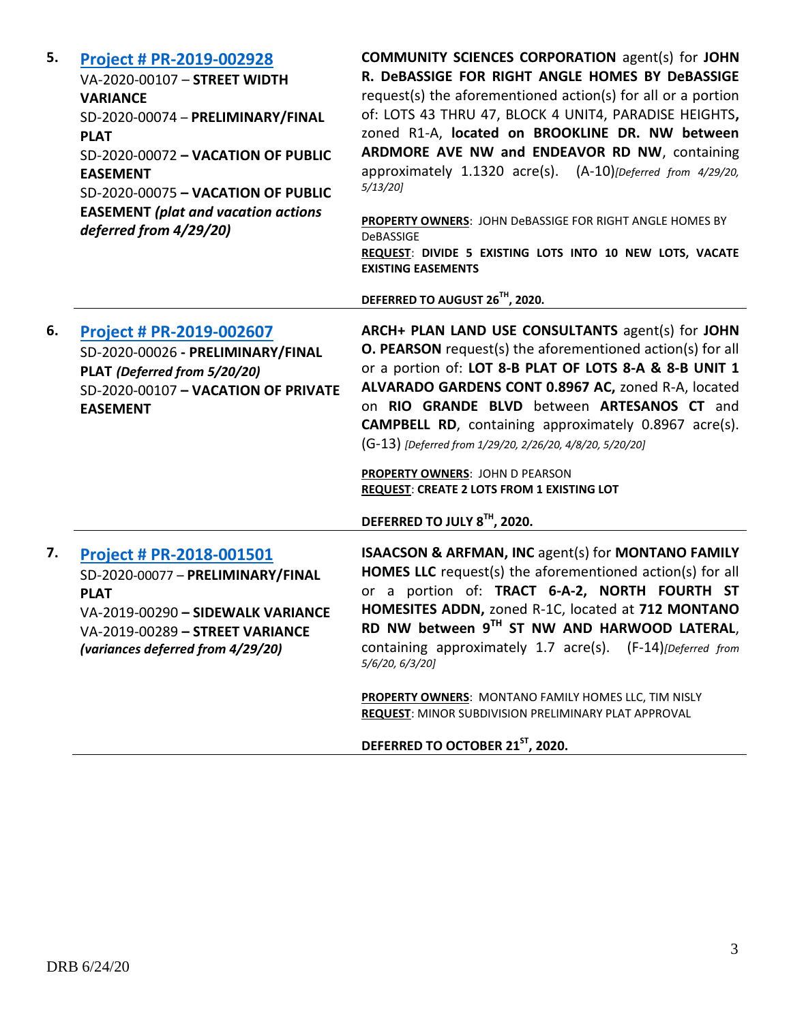| 5. | <b>Project # PR-2019-002928</b><br>VA-2020-00107 - STREET WIDTH<br><b>VARIANCE</b><br>SD-2020-00074 - PRELIMINARY/FINAL<br><b>PLAT</b><br>SD-2020-00072 - VACATION OF PUBLIC<br><b>EASEMENT</b><br>SD-2020-00075 - VACATION OF PUBLIC<br><b>EASEMENT</b> (plat and vacation actions<br>deferred from 4/29/20) | <b>COMMUNITY SCIENCES CORPORATION agent(s) for JOHN</b><br>R. DeBASSIGE FOR RIGHT ANGLE HOMES BY DeBASSIGE<br>request(s) the aforementioned action(s) for all or a portion<br>of: LOTS 43 THRU 47, BLOCK 4 UNIT4, PARADISE HEIGHTS,<br>zoned R1-A, located on BROOKLINE DR. NW between<br>ARDMORE AVE NW and ENDEAVOR RD NW, containing<br>approximately 1.1320 acre(s). (A-10)[Deferred from 4/29/20,<br>$5/13/20$ ]<br>PROPERTY OWNERS: JOHN DeBASSIGE FOR RIGHT ANGLE HOMES BY<br><b>DeBASSIGE</b><br>REQUEST: DIVIDE 5 EXISTING LOTS INTO 10 NEW LOTS, VACATE<br><b>EXISTING EASEMENTS</b> |
|----|---------------------------------------------------------------------------------------------------------------------------------------------------------------------------------------------------------------------------------------------------------------------------------------------------------------|------------------------------------------------------------------------------------------------------------------------------------------------------------------------------------------------------------------------------------------------------------------------------------------------------------------------------------------------------------------------------------------------------------------------------------------------------------------------------------------------------------------------------------------------------------------------------------------------|
|    |                                                                                                                                                                                                                                                                                                               | DEFERRED TO AUGUST 26 <sup>TH</sup> , 2020.                                                                                                                                                                                                                                                                                                                                                                                                                                                                                                                                                    |
| 6. | Project # PR-2019-002607<br>SD-2020-00026 - PRELIMINARY/FINAL<br>PLAT (Deferred from 5/20/20)<br>SD-2020-00107 - VACATION OF PRIVATE<br><b>EASEMENT</b>                                                                                                                                                       | ARCH+ PLAN LAND USE CONSULTANTS agent(s) for JOHN<br><b>O. PEARSON</b> request(s) the aforementioned action(s) for all<br>or a portion of: LOT 8-B PLAT OF LOTS 8-A & 8-B UNIT 1<br>ALVARADO GARDENS CONT 0.8967 AC, zoned R-A, located<br>on RIO GRANDE BLVD between ARTESANOS CT and<br><b>CAMPBELL RD</b> , containing approximately 0.8967 acre(s).<br>(G-13) [Deferred from 1/29/20, 2/26/20, 4/8/20, 5/20/20]<br>PROPERTY OWNERS: JOHN D PEARSON<br><b>REQUEST: CREATE 2 LOTS FROM 1 EXISTING LOT</b><br>DEFERRED TO JULY 8TH, 2020.                                                     |
| 7. | <b>Project # PR-2018-001501</b><br>SD-2020-00077 - PRELIMINARY/FINAL<br><b>PLAT</b><br>VA-2019-00290 - SIDEWALK VARIANCE<br>VA-2019-00289 - STREET VARIANCE<br>(variances deferred from 4/29/20)                                                                                                              | ISAACSON & ARFMAN, INC agent(s) for MONTANO FAMILY<br>HOMES LLC request(s) the aforementioned action(s) for all<br>or a portion of: TRACT 6-A-2, NORTH FOURTH ST<br>HOMESITES ADDN, zoned R-1C, located at 712 MONTANO<br>RD NW between 9TH ST NW AND HARWOOD LATERAL,<br>containing approximately 1.7 acre(s). (F-14) [Deferred from<br>5/6/20, 6/3/20]<br><b>PROPERTY OWNERS: MONTANO FAMILY HOMES LLC, TIM NISLY</b><br>REQUEST: MINOR SUBDIVISION PRELIMINARY PLAT APPROVAL<br>DEFERRED TO OCTOBER 21ST, 2020.                                                                             |
|    |                                                                                                                                                                                                                                                                                                               |                                                                                                                                                                                                                                                                                                                                                                                                                                                                                                                                                                                                |